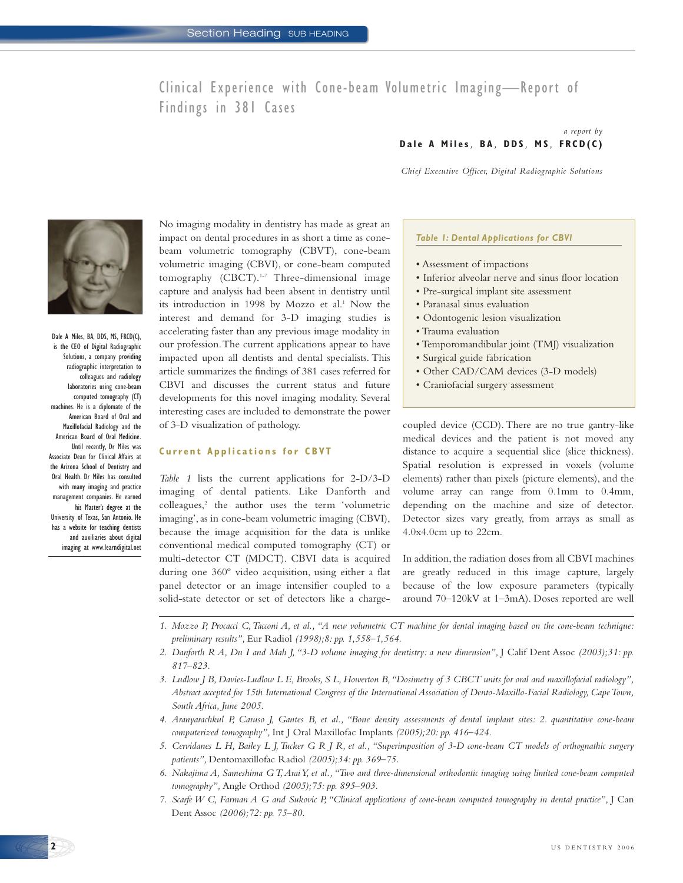# Clinical Experience with Cone-beam Volumetric Imaging—Report of Findings in 381 Cases

#### *a report by*  **Dale A Miles***,* **BA** *,* **DDS** *,* **MS** *,* **FRCD(C)**

*Chief Executive Officer, Digital Radiographic Solutions*



Dale A Miles, BA, DDS, MS, FRCD(C), is the CEO of Digital Radiographic Solutions, a company providing radiographic interpretation to colleagues and radiology laboratories using cone-beam computed tomography (CT) machines. He is a diplomate of the American Board of Oral and Maxillofacial Radiology and the American Board of Oral Medicine. Until recently, Dr Miles was Associate Dean for Clinical Affairs at the Arizona School of Dentistry and Oral Health. Dr Miles has consulted with many imaging and practice management companies. He earned his Master's degree at the University of Texas, San Antonio. He has a website for teaching dentists and auxiliaries about digital imaging at www.learndigital.net

No imaging modality in dentistry has made as great an impact on dental procedures in as short a time as conebeam volumetric tomography (CBVT), cone-beam volumetric imaging (CBVI), or cone-beam computed tomography (CBCT).<sup>1-7</sup> Three-dimensional image capture and analysis had been absent in dentistry until its introduction in 1998 by Mozzo et al.<sup>1</sup> Now the interest and demand for 3-D imaging studies is accelerating faster than any previous image modality in our profession.The current applications appear to have impacted upon all dentists and dental specialists. This article summarizes the findings of 381 cases referred for CBVI and discusses the current status and future developments for this novel imaging modality. Several interesting cases are included to demonstrate the power of 3-D visualization of pathology.

# **Current Applications for CBVT**

*Table 1* lists the current applications for 2-D/3-D imaging of dental patients. Like Danforth and colleagues,<sup>2</sup> the author uses the term 'volumetric imaging', as in cone-beam volumetric imaging (CBVI), because the image acquisition for the data is unlike conventional medical computed tomography (CT) or multi-detector CT (MDCT). CBVI data is acquired during one 360º video acquisition, using either a flat panel detector or an image intensifier coupled to a solid-state detector or set of detectors like a charge-

### *Table 1: Dental Applications for CBVI*

- Assessment of impactions
- Inferior alveolar nerve and sinus floor location
- Pre-surgical implant site assessment
- Paranasal sinus evaluation
- Odontogenic lesion visualization
- Trauma evaluation
- Temporomandibular joint (TMJ) visualization
- Surgical guide fabrication
- Other CAD/CAM devices (3-D models)
- Craniofacial surgery assessment

coupled device (CCD). There are no true gantry-like medical devices and the patient is not moved any distance to acquire a sequential slice (slice thickness). Spatial resolution is expressed in voxels (volume elements) rather than pixels (picture elements), and the volume array can range from 0.1mm to 0.4mm, depending on the machine and size of detector. Detector sizes vary greatly, from arrays as small as 4.0x4.0cm up to 22cm.

In addition, the radiation doses from all CBVI machines are greatly reduced in this image capture, largely because of the low exposure parameters (typically around 70–120kV at 1–3mA). Doses reported are well

- *1. Mozzo P, Procacci C,Tacconi A, et al., "A new volumetric CT machine for dental imaging based on the cone-beam technique: preliminary results",* Eur Radiol *(1998);8: pp. 1,558–1,564.*
- *2. Danforth R A, Du I and Mah J, "3-D volume imaging for dentistry: a new dimension",* J Calif Dent Assoc *(2003);31: pp. 817–823.*
- *3. Ludlow J B, Davies-Ludlow L E, Brooks, S L, Howerton B,"Dosimetry of 3 CBCT units for oral and maxillofacial radiology", Abstract accepted for 15th International Congress of the International Association of Dento-Maxillo-Facial Radiology, Cape Town, South Africa, June 2005.*
- *4. Aranyarachkul P, Caruso J, Gantes B, et al., "Bone density assessments of dental implant sites: 2. quantitative cone-beam computerized tomography",* Int J Oral Maxillofac Implants *(2005);20: pp. 416–424.*
- *5. Cervidanes L H, Bailey L J,Tucker G R J R, et al., "Superimposition of 3-D cone-beam CT models of orthognathic surgery patients",* Dentomaxillofac Radiol *(2005);34: pp. 369–75.*
- *6. Nakajima A, Sameshima G T,Arai Y, et al.,"Two and three-dimensional orthodontic imaging using limited cone-beam computed tomography",* Angle Orthod *(2005);75: pp. 895–903.*
- *7. Scarfe W C, Farman A G and Sukovic P, "Clinical applications of cone-beam computed tomography in dental practice",* J Can Dent Assoc *(2006);72: pp. 75–80.*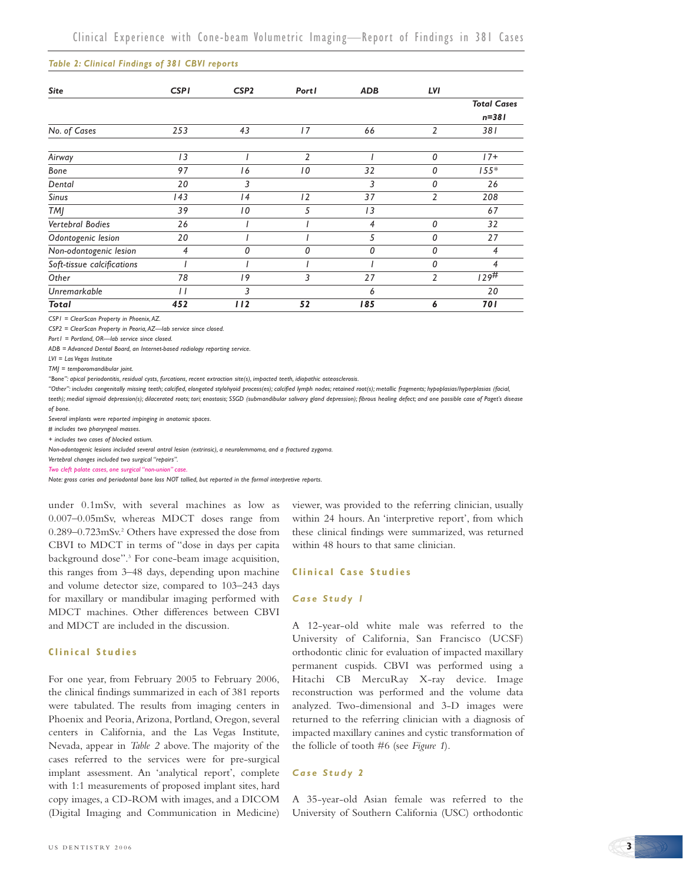#### *Table 2: Clinical Findings of 381 CBVI reports*

| <b>Site</b>                | <b>CSPI</b>  | CSP <sub>2</sub> | Portl | <b>ADB</b> | LVI            |                                 |
|----------------------------|--------------|------------------|-------|------------|----------------|---------------------------------|
|                            |              |                  |       |            |                | <b>Total Cases</b><br>$n = 381$ |
| No. of Cases               | 253          | 43               | 17    | 66         | $\overline{2}$ | 381                             |
| Airway                     | 13           |                  | 2     |            | 0              | $17+$                           |
| Bone                       | 97           | 16               | 10    | 32         | 0              | $155*$                          |
| Dental                     | 20           | 3                |       | 3          | 0              | 26                              |
| <b>Sinus</b>               | 143          | 4                | 12    | 37         | 2              | 208                             |
| <b>TMI</b>                 | 39           | 10               | 5     | 13         |                | 67                              |
| Vertebral Bodies           | 26           |                  |       | 4          | 0              | 32                              |
| Odontogenic lesion         | 20           |                  |       | 5          | 0              | 27                              |
| Non-odontogenic lesion     | 4            | 0                | 0     | 0          | 0              | 4                               |
| Soft-tissue calcifications |              |                  |       |            | 0              | 4                               |
| Other                      | 78           | 19               | 3     | 27         | $\overline{2}$ | 129#                            |
| Unremarkable               | $\mathbf{I}$ | 3                |       | 6          |                | 20                              |
| <b>Total</b>               | 452          | 112              | 52    | 185        | 6              | <b>701</b>                      |

*CSP1 = ClearScan Property in Phoenix, AZ.*

*CSP2 = ClearScan Property in Peoria, AZ—lab service since closed.*

*Port1 = Portland, OR—lab service since closed.*

*ADB = Advanced Dental Board, an Internet-based radiology reporting service.*

*LVI = Las Vegas Institute*

*TMJ = temporomandibular joint.*

*"Bone": apical periodontitis, residual cysts, furcations, recent extraction site(s), impacted teeth, idiopathic osteosclerosis.*

*"Other": includes congenitally missing teeth; calcified, elongated stylohyoid process(es); calcified lymph nodes; retained root(s); metallic fragments; hypoplasias/hyperplasias (facial, teeth); medial sigmoid depression(s); dilacerated roots; tori; enostosis; SSGD (submandibular salivary gland depression); fibrous healing defect; and one possible case of Paget's disease of bone.*

*Several implants were reported impinging in anatomic spaces.*

*# includes two pharyngeal masses.*

*+ includes two cases of blocked ostium.*

*Non-odontogenic lesions included several antral lesion (extrinsic), a neurolemmoma, and a fractured zygoma.*

*Vertebral changes included two surgical "repairs".*

*Two cleft palate cases, one surgical "non-union" case.*

*Note: gross caries and periodontal bone loss NOT tallied, but reported in the formal interpretive reports.*

under 0.1mSv, with several machines as low as 0.007–0.05mSv, whereas MDCT doses range from 0.289–0.723mSv.2 Others have expressed the dose from CBVI to MDCT in terms of "dose in days per capita background dose".3 For cone-beam image acquisition, this ranges from 3–48 days, depending upon machine and volume detector size, compared to 103–243 days for maxillary or mandibular imaging performed with MDCT machines. Other differences between CBVI and MDCT are included in the discussion.

# **Clinical Studies**

For one year, from February 2005 to February 2006, the clinical findings summarized in each of 381 reports were tabulated. The results from imaging centers in Phoenix and Peoria,Arizona, Portland, Oregon, several centers in California, and the Las Vegas Institute, Nevada, appear in *Table 2* above. The majority of the cases referred to the services were for pre-surgical implant assessment. An 'analytical report', complete with 1:1 measurements of proposed implant sites, hard copy images, a CD-ROM with images, and a DICOM (Digital Imaging and Communication in Medicine) viewer, was provided to the referring clinician, usually within 24 hours. An 'interpretive report', from which these clinical findings were summarized, was returned within 48 hours to that same clinician.

#### **Clinical Case Studies**

#### *Case Study 1*

A 12-year-old white male was referred to the University of California, San Francisco (UCSF) orthodontic clinic for evaluation of impacted maxillary permanent cuspids. CBVI was performed using a Hitachi CB MercuRay X-ray device. Image reconstruction was performed and the volume data analyzed. Two-dimensional and 3-D images were returned to the referring clinician with a diagnosis of impacted maxillary canines and cystic transformation of the follicle of tooth #6 (see *Figure 1*).

#### *Case Study 2*

A 35-year-old Asian female was referred to the University of Southern California (USC) orthodontic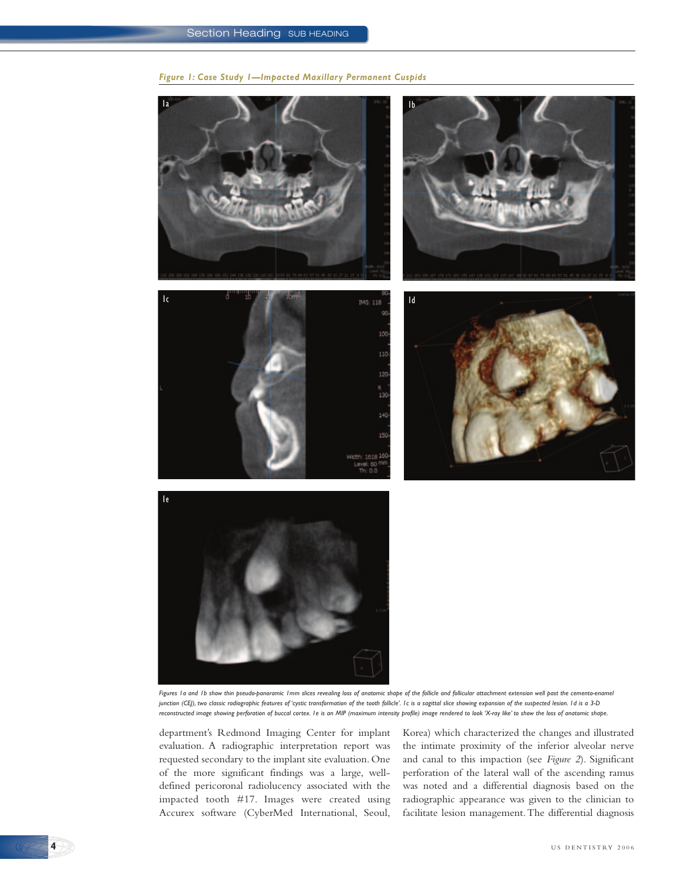











*Figures 1a and 1b show thin pseudo-panoramic 1mm slices revealing loss of anatomic shape of the follicle and follicular attachment extension well past the cemento-enamel junction (CEJ), two classic radiographic features of 'cystic transformation of the tooth follicle'. 1c is a sagittal slice showing expansion of the suspected lesion. 1d is a 3-D reconstructed image showing perforation of buccal cortex. 1e is an MIP (maximum intensity profile) image rendered to look 'X-ray like' to show the loss of anatomic shape.*

department's Redmond Imaging Center for implant evaluation. A radiographic interpretation report was requested secondary to the implant site evaluation. One of the more significant findings was a large, welldefined pericoronal radiolucency associated with the impacted tooth #17. Images were created using Accurex software (CyberMed International, Seoul, Korea) which characterized the changes and illustrated the intimate proximity of the inferior alveolar nerve and canal to this impaction (see *Figure 2*). Significant perforation of the lateral wall of the ascending ramus was noted and a differential diagnosis based on the radiographic appearance was given to the clinician to facilitate lesion management.The differential diagnosis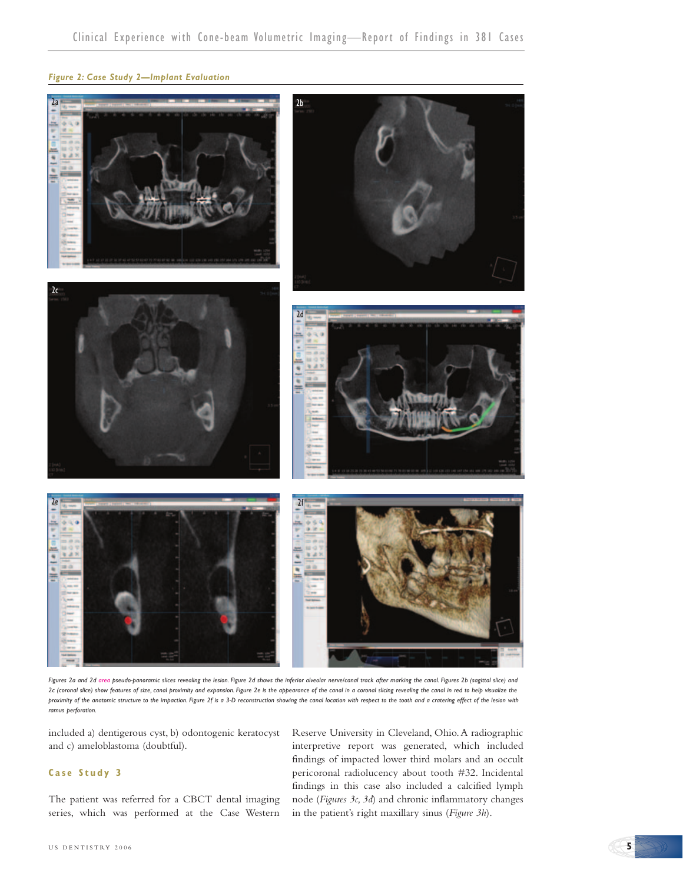## *Figure 2: Case Study 2—Implant Evaluation*



*Figures 2a and 2d area pseudo-panoramic slices revealing the lesion. Figure 2d shows the inferior alveolar nerve/canal track after marking the canal. Figures 2b (sagittal slice) and 2c (coronal slice) show features of size, canal proximity and expansion. Figure 2e is the appearance of the canal in a coronal slicing revealing the canal in red to help visualize the proximity of the anatomic structure to the impaction. Figure 2f is a 3-D reconstruction showing the canal location with respect to the tooth and a cratering effect of the lesion with ramus perforation.*

included a) dentigerous cyst, b) odontogenic keratocyst and c) ameloblastoma (doubtful).

# **Case Study 3**

The patient was referred for a CBCT dental imaging series, which was performed at the Case Western Reserve University in Cleveland, Ohio.A radiographic interpretive report was generated, which included findings of impacted lower third molars and an occult pericoronal radiolucency about tooth #32. Incidental findings in this case also included a calcified lymph node (*Figures 3c, 3d*) and chronic inflammatory changes in the patient's right maxillary sinus (*Figure 3h*).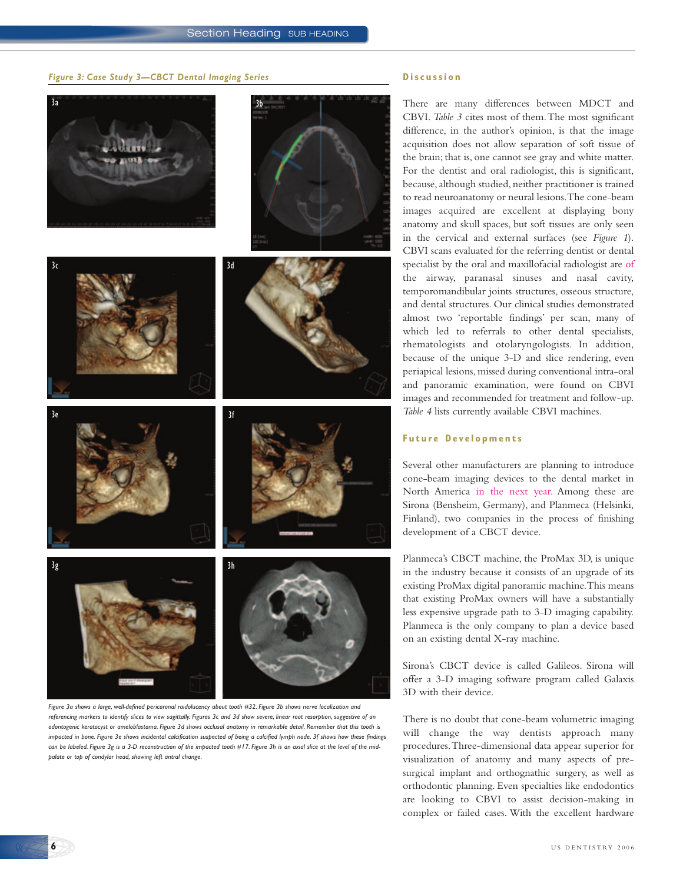#### *Figure 3: Case Study 3—CBCT Dental Imaging Series*

# 3a 3b









*Figure 3a shows a large, well-defined pericoronal raidolucency about tooth #32. Figure 3b shows nerve localization and referencing markers to identify slices to view sagittally. Figures 3c and 3d show severe, linear root resorption, suggestive of an odontogenic keratocyst or ameloblastoma. Figure 3d shows occlusal anatomy in remarkable detail. Remember that this tooth is impacted in bone. Figure 3e shows incidental calcification suspected of being a calcified lymph node. 3f shows how these findings can be labeled. Figure 3g is a 3-D reconstruction of the impacted tooth #17. Figure 3h is an axial slice at the level of the midpalate or top of condylar head, showing left antral change.*

#### **Discussion**

There are many differences between MDCT and CBVI. *Table 3* cites most of them.The most significant difference, in the author's opinion, is that the image acquisition does not allow separation of soft tissue of the brain; that is, one cannot see gray and white matter. For the dentist and oral radiologist, this is significant, because, although studied, neither practitioner is trained to read neuroanatomy or neural lesions.The cone-beam images acquired are excellent at displaying bony anatomy and skull spaces, but soft tissues are only seen in the cervical and external surfaces (see *Figure 1*). CBVI scans evaluated for the referring dentist or dental specialist by the oral and maxillofacial radiologist are of the airway, paranasal sinuses and nasal cavity, temporomandibular joints structures, osseous structure, and dental structures. Our clinical studies demonstrated almost two 'reportable findings' per scan, many of which led to referrals to other dental specialists, rhematologists and otolaryngologists. In addition, because of the unique 3-D and slice rendering, even periapical lesions, missed during conventional intra-oral and panoramic examination, were found on CBVI images and recommended for treatment and follow-up. *Table 4* lists currently available CBVI machines.

### **Future Developments**

Several other manufacturers are planning to introduce cone-beam imaging devices to the dental market in North America in the next year. Among these are Sirona (Bensheim, Germany), and Planmeca (Helsinki, Finland), two companies in the process of finishing development of a CBCT device.

Planmeca's CBCT machine, the ProMax 3D, is unique in the industry because it consists of an upgrade of its existing ProMax digital panoramic machine.This means that existing ProMax owners will have a substantially less expensive upgrade path to 3-D imaging capability. Planmeca is the only company to plan a device based on an existing dental X-ray machine.

Sirona's CBCT device is called Galileos. Sirona will offer a 3-D imaging software program called Galaxis 3D with their device.

There is no doubt that cone-beam volumetric imaging will change the way dentists approach many procedures.Three-dimensional data appear superior for visualization of anatomy and many aspects of presurgical implant and orthognathic surgery, as well as orthodontic planning. Even specialties like endodontics are looking to CBVI to assist decision-making in complex or failed cases. With the excellent hardware